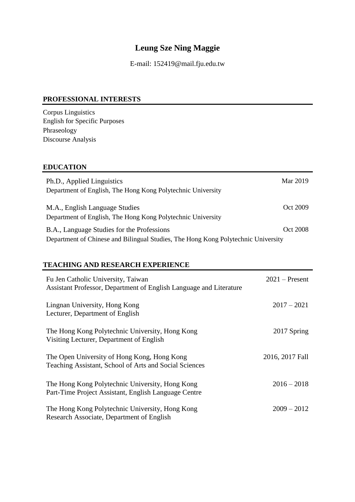# **Leung Sze Ning Maggie**

E-mail: 152419@mail.fju.edu.tw

### **PROFESSIONAL INTERESTS**

Corpus Linguistics English for Specific Purposes Phraseology Discourse Analysis

## **EDUCATION**

| Ph.D., Applied Linguistics<br>Department of English, The Hong Kong Polytechnic University                                       | Mar 2019 |
|---------------------------------------------------------------------------------------------------------------------------------|----------|
| M.A., English Language Studies<br>Department of English, The Hong Kong Polytechnic University                                   | Oct 2009 |
| B.A., Language Studies for the Professions<br>Department of Chinese and Bilingual Studies, The Hong Kong Polytechnic University | Oct 2008 |

## **TEACHING AND RESEARCH EXPERIENCE**

| Fu Jen Catholic University, Taiwan<br>Assistant Professor, Department of English Language and Literature | $2021$ – Present |
|----------------------------------------------------------------------------------------------------------|------------------|
| Lingnan University, Hong Kong<br>Lecturer, Department of English                                         | $2017 - 2021$    |
| The Hong Kong Polytechnic University, Hong Kong<br>Visiting Lecturer, Department of English              | 2017 Spring      |
| The Open University of Hong Kong, Hong Kong<br>Teaching Assistant, School of Arts and Social Sciences    | 2016, 2017 Fall  |
| The Hong Kong Polytechnic University, Hong Kong<br>Part-Time Project Assistant, English Language Centre  | $2016 - 2018$    |
| The Hong Kong Polytechnic University, Hong Kong<br>Research Associate, Department of English             | $2009 - 2012$    |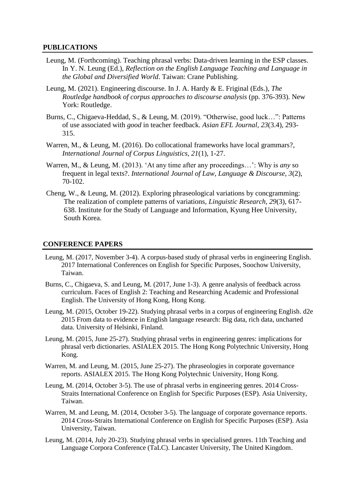#### **PUBLICATIONS**

- Leung, M. (Forthcoming). Teaching phrasal verbs: Data-driven learning in the ESP classes. In Y. N. Leung (Ed.), *Reflection on the English Language Teaching and Language in the Global and Diversified World*. Taiwan: Crane Publishing.
- Leung, M. (2021). Engineering discourse. In J. A. Hardy & E. Friginal (Eds.), *The Routledge handbook of corpus approaches to discourse analysis* (pp. 376-393). New York: Routledge.
- Burns, C., Chigaeva-Heddad, S., & Leung, M. (2019). "Otherwise, good luck…": Patterns of use associated with *good* in teacher feedback. *Asian EFL Journal, 23*(3.4), 293- 315.
- Warren, M., & Leung, M. (2016). Do collocational frameworks have local grammars?, *International Journal of Corpus Linguistics, 21*(1), 1-27.
- Warren, M., & Leung, M. (2013). 'At any time after any proceedings…': Why is *any* so frequent in legal texts?. *International Journal of Law, Language & Discourse, 3*(2), 70-102.
- Cheng, W., & Leung, M. (2012). Exploring phraseological variations by concgramming: The realization of complete patterns of variations, *Linguistic Research, 29*(3), 617- 638. Institute for the Study of Language and Information, Kyung Hee University, South Korea.

#### **CONFERENCE PAPERS**

- Leung, M. (2017, November 3-4). A corpus-based study of phrasal verbs in engineering English. 2017 International Conferences on English for Specific Purposes, Soochow University, Taiwan.
- Burns, C., Chigaeva, S. and Leung, M. (2017, June 1-3). A genre analysis of feedback across curriculum. Faces of English 2: Teaching and Researching Academic and Professional English. The University of Hong Kong, Hong Kong.
- Leung, M. (2015, October 19-22). Studying phrasal verbs in a corpus of engineering English. d2e 2015 From data to evidence in English language research: Big data, rich data, uncharted data. University of Helsinki, Finland.
- Leung, M. (2015, June 25-27). Studying phrasal verbs in engineering genres: implications for phrasal verb dictionaries. ASIALEX 2015. The Hong Kong Polytechnic University, Hong Kong.
- Warren, M. and Leung, M. (2015, June 25-27). The phraseologies in corporate governance reports. ASIALEX 2015. The Hong Kong Polytechnic University, Hong Kong.
- Leung, M. (2014, October 3-5). The use of phrasal verbs in engineering genres. 2014 Cross-Straits International Conference on English for Specific Purposes (ESP). Asia University, Taiwan.
- Warren, M. and Leung, M. (2014, October 3-5). The language of corporate governance reports. 2014 Cross-Straits International Conference on English for Specific Purposes (ESP). Asia University, Taiwan.
- Leung, M. (2014, July 20-23). Studying phrasal verbs in specialised genres. 11th Teaching and Language Corpora Conference (TaLC). Lancaster University, The United Kingdom.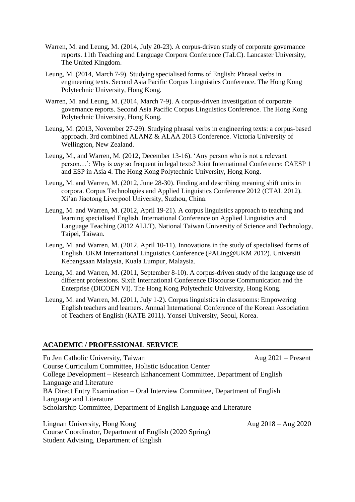- Warren, M. and Leung, M. (2014, July 20-23). A corpus-driven study of corporate governance reports. 11th Teaching and Language Corpora Conference (TaLC). Lancaster University, The United Kingdom.
- Leung, M. (2014, March 7-9). Studying specialised forms of English: Phrasal verbs in engineering texts. Second Asia Pacific Corpus Linguistics Conference. The Hong Kong Polytechnic University, Hong Kong.
- Warren, M. and Leung, M. (2014, March 7-9). A corpus-driven investigation of corporate governance reports. Second Asia Pacific Corpus Linguistics Conference. The Hong Kong Polytechnic University, Hong Kong.
- Leung, M. (2013, November 27-29). Studying phrasal verbs in engineering texts: a corpus-based approach. 3rd combined ALANZ & ALAA 2013 Conference. Victoria University of Wellington, New Zealand.
- Leung, M., and Warren, M. (2012, December 13-16). 'Any person who is not a relevant person…': Why is *any* so frequent in legal texts? Joint International Conference: CAESP 1 and ESP in Asia 4. The Hong Kong Polytechnic University, Hong Kong.
- Leung, M. and Warren, M. (2012, June 28-30). Finding and describing meaning shift units in corpora. Corpus Technologies and Applied Linguistics Conference 2012 (CTAL 2012). Xi'an Jiaotong Liverpool University, Suzhou, China.
- Leung, M. and Warren, M. (2012, April 19-21). A corpus linguistics approach to teaching and learning specialised English. International Conference on Applied Linguistics and Language Teaching (2012 ALLT). National Taiwan University of Science and Technology, Taipei, Taiwan.
- Leung, M. and Warren, M. (2012, April 10-11). Innovations in the study of specialised forms of English. UKM International Linguistics Conference (PALing@UKM 2012). Universiti Kebangsaan Malaysia, Kuala Lumpur, Malaysia.
- Leung, M. and Warren, M. (2011, September 8-10). A corpus-driven study of the language use of different professions. Sixth International Conference Discourse Communication and the Enterprise (DICOEN VI). The Hong Kong Polytechnic University, Hong Kong.
- Leung, M. and Warren, M. (2011, July 1-2). Corpus linguistics in classrooms: Empowering English teachers and learners. Annual International Conference of the Korean Association of Teachers of English (KATE 2011). Yonsei University, Seoul, Korea.

### **ACADEMIC / PROFESSIONAL SERVICE**

Fu Jen Catholic University, Taiwan Aug 2021 – Present Course Curriculum Committee, Holistic Education Center College Development – Research Enhancement Committee, Department of English Language and Literature BA Direct Entry Examination – Oral Interview Committee, Department of English Language and Literature Scholarship Committee, Department of English Language and Literature

Lingnan University, Hong Kong  $\angle 2018 - \angle 2020$ Course Coordinator, Department of English (2020 Spring) Student Advising, Department of English